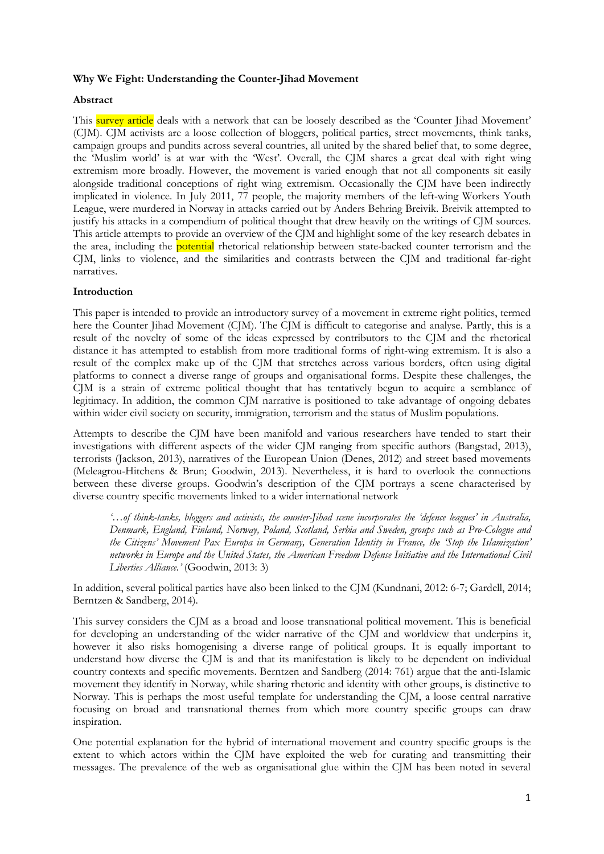## **Why We Fight: Understanding the Counter-Jihad Movement**

## **Abstract**

This survey article deals with a network that can be loosely described as the 'Counter Jihad Movement' (CJM). CJM activists are a loose collection of bloggers, political parties, street movements, think tanks, campaign groups and pundits across several countries, all united by the shared belief that, to some degree, the 'Muslim world' is at war with the 'West'. Overall, the CJM shares a great deal with right wing extremism more broadly. However, the movement is varied enough that not all components sit easily alongside traditional conceptions of right wing extremism. Occasionally the CJM have been indirectly implicated in violence. In July 2011, 77 people, the majority members of the left-wing Workers Youth League, were murdered in Norway in attacks carried out by Anders Behring Breivik. Breivik attempted to justify his attacks in a compendium of political thought that drew heavily on the writings of CJM sources. This article attempts to provide an overview of the CJM and highlight some of the key research debates in the area, including the **potential** rhetorical relationship between state-backed counter terrorism and the CJM, links to violence, and the similarities and contrasts between the CJM and traditional far-right narratives.

### **Introduction**

This paper is intended to provide an introductory survey of a movement in extreme right politics, termed here the Counter Jihad Movement (CJM). The CJM is difficult to categorise and analyse. Partly, this is a result of the novelty of some of the ideas expressed by contributors to the CJM and the rhetorical distance it has attempted to establish from more traditional forms of right-wing extremism. It is also a result of the complex make up of the CJM that stretches across various borders, often using digital platforms to connect a diverse range of groups and organisational forms. Despite these challenges, the CJM is a strain of extreme political thought that has tentatively begun to acquire a semblance of legitimacy. In addition, the common CJM narrative is positioned to take advantage of ongoing debates within wider civil society on security, immigration, terrorism and the status of Muslim populations.

Attempts to describe the CJM have been manifold and various researchers have tended to start their investigations with different aspects of the wider CJM ranging from specific authors (Bangstad, 2013), terrorists (Jackson, 2013), narratives of the European Union (Denes, 2012) and street based movements (Meleagrou-Hitchens & Brun; Goodwin, 2013). Nevertheless, it is hard to overlook the connections between these diverse groups. Goodwin's description of the CJM portrays a scene characterised by diverse country specific movements linked to a wider international network

*'…of think-tanks, bloggers and activists, the counter-Jihad scene incorporates the 'defence leagues' in Australia, Denmark, England, Finland, Norway, Poland, Scotland, Serbia and Sweden, groups such as Pro-Cologne and the Citizens' Movement Pax Europa in Germany, Generation Identity in France, the 'Stop the Islamization' networks in Europe and the United States, the American Freedom Defense Initiative and the International Civil Liberties Alliance.'* (Goodwin, 2013: 3)

In addition, several political parties have also been linked to the CJM (Kundnani, 2012: 6-7; Gardell, 2014; Berntzen & Sandberg, 2014).

This survey considers the CJM as a broad and loose transnational political movement. This is beneficial for developing an understanding of the wider narrative of the CJM and worldview that underpins it, however it also risks homogenising a diverse range of political groups. It is equally important to understand how diverse the CJM is and that its manifestation is likely to be dependent on individual country contexts and specific movements. Berntzen and Sandberg (2014: 761) argue that the anti-Islamic movement they identify in Norway, while sharing rhetoric and identity with other groups, is distinctive to Norway. This is perhaps the most useful template for understanding the CJM, a loose central narrative focusing on broad and transnational themes from which more country specific groups can draw inspiration.

One potential explanation for the hybrid of international movement and country specific groups is the extent to which actors within the CJM have exploited the web for curating and transmitting their messages. The prevalence of the web as organisational glue within the CJM has been noted in several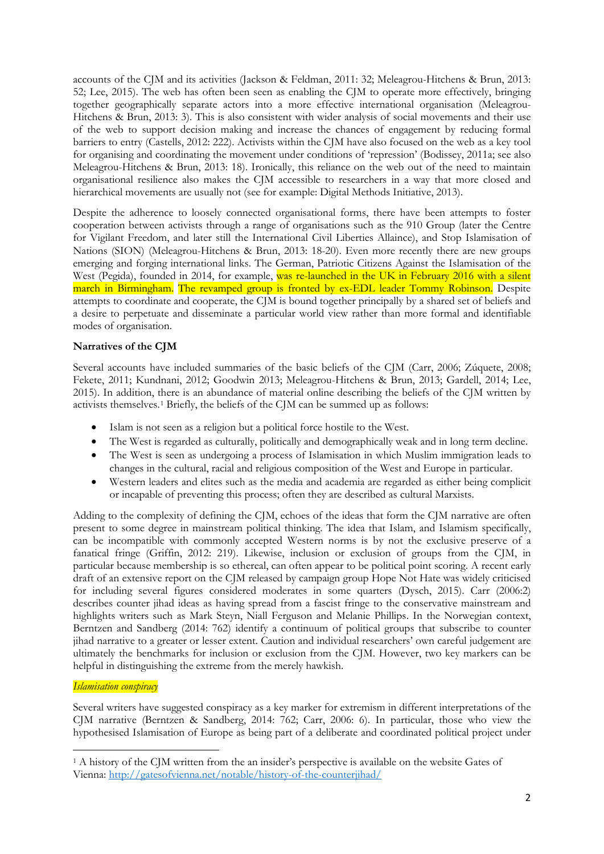accounts of the CJM and its activities (Jackson & Feldman, 2011: 32; Meleagrou-Hitchens & Brun, 2013: 52; Lee, 2015). The web has often been seen as enabling the CJM to operate more effectively, bringing together geographically separate actors into a more effective international organisation (Meleagrou-Hitchens & Brun, 2013: 3). This is also consistent with wider analysis of social movements and their use of the web to support decision making and increase the chances of engagement by reducing formal barriers to entry (Castells, 2012: 222). Activists within the CJM have also focused on the web as a key tool for organising and coordinating the movement under conditions of 'repression' (Bodissey, 2011a; see also Meleagrou-Hitchens & Brun, 2013: 18). Ironically, this reliance on the web out of the need to maintain organisational resilience also makes the CJM accessible to researchers in a way that more closed and hierarchical movements are usually not (see for example: Digital Methods Initiative, 2013).

Despite the adherence to loosely connected organisational forms, there have been attempts to foster cooperation between activists through a range of organisations such as the 910 Group (later the Centre for Vigilant Freedom, and later still the International Civil Liberties Allaince), and Stop Islamisation of Nations (SION) (Meleagrou-Hitchens & Brun, 2013: 18-20). Even more recently there are new groups emerging and forging international links. The German, Patriotic Citizens Against the Islamisation of the West (Pegida), founded in 2014, for example, was re-launched in the UK in February 2016 with a silent march in Birmingham. The revamped group is fronted by ex-EDL leader Tommy Robinson. Despite attempts to coordinate and cooperate, the CJM is bound together principally by a shared set of beliefs and a desire to perpetuate and disseminate a particular world view rather than more formal and identifiable modes of organisation.

# **Narratives of the CJM**

Several accounts have included summaries of the basic beliefs of the CJM (Carr, 2006; Zúquete, 2008; Fekete, 2011; Kundnani, 2012; Goodwin 2013; Meleagrou-Hitchens & Brun, 2013; Gardell, 2014; Lee, 2015). In addition, there is an abundance of material online describing the beliefs of the CJM written by activists themselves.[1](#page-1-0) Briefly, the beliefs of the CJM can be summed up as follows:

- Islam is not seen as a religion but a political force hostile to the West.
- The West is regarded as culturally, politically and demographically weak and in long term decline.
- The West is seen as undergoing a process of Islamisation in which Muslim immigration leads to changes in the cultural, racial and religious composition of the West and Europe in particular.
- Western leaders and elites such as the media and academia are regarded as either being complicit or incapable of preventing this process; often they are described as cultural Marxists.

Adding to the complexity of defining the CJM, echoes of the ideas that form the CJM narrative are often present to some degree in mainstream political thinking. The idea that Islam, and Islamism specifically, can be incompatible with commonly accepted Western norms is by not the exclusive preserve of a fanatical fringe (Griffin, 2012: 219). Likewise, inclusion or exclusion of groups from the CJM, in particular because membership is so ethereal, can often appear to be political point scoring. A recent early draft of an extensive report on the CJM released by campaign group Hope Not Hate was widely criticised for including several figures considered moderates in some quarters (Dysch, 2015). Carr (2006:2) describes counter jihad ideas as having spread from a fascist fringe to the conservative mainstream and highlights writers such as Mark Steyn, Niall Ferguson and Melanie Phillips. In the Norwegian context, Berntzen and Sandberg (2014: 762) identify a continuum of political groups that subscribe to counter jihad narrative to a greater or lesser extent. Caution and individual researchers' own careful judgement are ultimately the benchmarks for inclusion or exclusion from the CJM. However, two key markers can be helpful in distinguishing the extreme from the merely hawkish.

### *Islamisation conspiracy*

**.** 

Several writers have suggested conspiracy as a key marker for extremism in different interpretations of the CJM narrative (Berntzen & Sandberg, 2014: 762; Carr, 2006: 6). In particular, those who view the hypothesised Islamisation of Europe as being part of a deliberate and coordinated political project under

<span id="page-1-0"></span><sup>1</sup> A history of the CJM written from the an insider's perspective is available on the website Gates of Vienna:<http://gatesofvienna.net/notable/history-of-the-counterjihad/>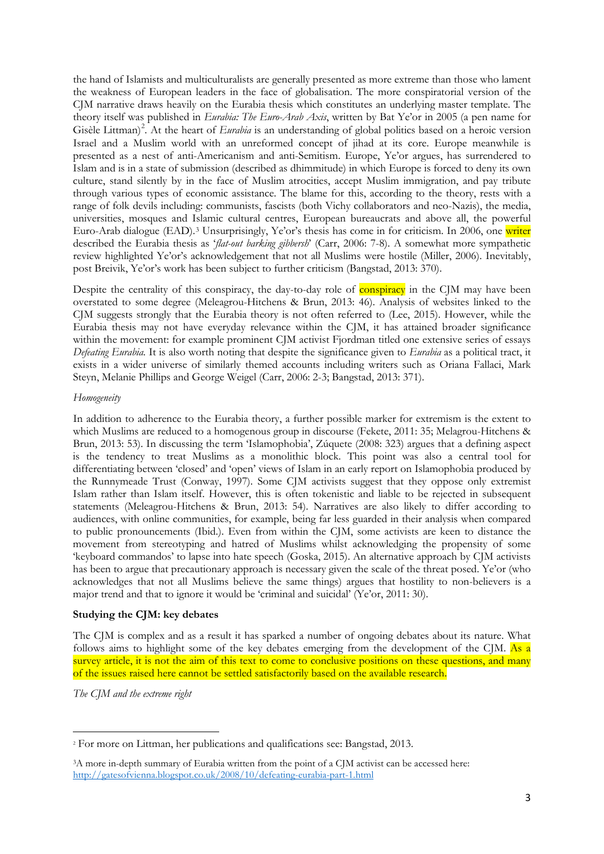the hand of Islamists and multiculturalists are generally presented as more extreme than those who lament the weakness of European leaders in the face of globalisation. The more conspiratorial version of the CJM narrative draws heavily on the Eurabia thesis which constitutes an underlying master template. The theory itself was published in *Eurabia: The Euro-Arab Axis*, written by Bat Ye'or in 2005 (a pen name for Gisèle Littman)<sup>[2](#page-2-0)</sup>. At the heart of *Eurabia* is an understanding of global politics based on a heroic version Israel and a Muslim world with an unreformed concept of jihad at its core. Europe meanwhile is presented as a nest of anti-Americanism and anti-Semitism. Europe, Ye'or argues, has surrendered to Islam and is in a state of submission (described as dhimmitude) in which Europe is forced to deny its own culture, stand silently by in the face of Muslim atrocities, accept Muslim immigration, and pay tribute through various types of economic assistance. The blame for this, according to the theory, rests with a range of folk devils including: communists, fascists (both Vichy collaborators and neo-Nazis), the media, universities, mosques and Islamic cultural centres, European bureaucrats and above all, the powerful Euro-Arab dialogue (EAD).[3](#page-2-1) Unsurprisingly, Ye'or's thesis has come in for criticism. In 2006, one writer described the Eurabia thesis as '*flat-out barking gibbersh*' (Carr, 2006: 7-8). A somewhat more sympathetic review highlighted Ye'or's acknowledgement that not all Muslims were hostile (Miller, 2006). Inevitably, post Breivik, Ye'or's work has been subject to further criticism (Bangstad, 2013: 370).

Despite the centrality of this conspiracy, the day-to-day role of **conspiracy** in the CJM may have been overstated to some degree (Meleagrou-Hitchens & Brun, 2013: 46). Analysis of websites linked to the CJM suggests strongly that the Eurabia theory is not often referred to (Lee, 2015). However, while the Eurabia thesis may not have everyday relevance within the CJM, it has attained broader significance within the movement: for example prominent CJM activist Fjordman titled one extensive series of essays *Defeating Eurabia.* It is also worth noting that despite the significance given to *Eurabia* as a political tract, it exists in a wider universe of similarly themed accounts including writers such as Oriana Fallaci, Mark Steyn, Melanie Phillips and George Weigel (Carr, 2006: 2-3; Bangstad, 2013: 371).

### *Homogeneity*

In addition to adherence to the Eurabia theory, a further possible marker for extremism is the extent to which Muslims are reduced to a homogenous group in discourse (Fekete, 2011: 35; Melagrou-Hitchens & Brun, 2013: 53). In discussing the term 'Islamophobia', Zúquete (2008: 323) argues that a defining aspect is the tendency to treat Muslims as a monolithic block. This point was also a central tool for differentiating between 'closed' and 'open' views of Islam in an early report on Islamophobia produced by the Runnymeade Trust (Conway, 1997). Some CJM activists suggest that they oppose only extremist Islam rather than Islam itself. However, this is often tokenistic and liable to be rejected in subsequent statements (Meleagrou-Hitchens & Brun, 2013: 54). Narratives are also likely to differ according to audiences, with online communities, for example, being far less guarded in their analysis when compared to public pronouncements (Ibid.). Even from within the CJM, some activists are keen to distance the movement from stereotyping and hatred of Muslims whilst acknowledging the propensity of some 'keyboard commandos' to lapse into hate speech (Goska, 2015). An alternative approach by CJM activists has been to argue that precautionary approach is necessary given the scale of the threat posed. Ye'or (who acknowledges that not all Muslims believe the same things) argues that hostility to non-believers is a major trend and that to ignore it would be 'criminal and suicidal' (Ye'or, 2011: 30).

### **Studying the CJM: key debates**

The CJM is complex and as a result it has sparked a number of ongoing debates about its nature. What follows aims to highlight some of the key debates emerging from the development of the CJM. As a survey article, it is not the aim of this text to come to conclusive positions on these questions, and many of the issues raised here cannot be settled satisfactorily based on the available research.

*The CJM and the extreme right*

**.** 

<span id="page-2-0"></span><sup>2</sup> For more on Littman, her publications and qualifications see: Bangstad, 2013.

<span id="page-2-1"></span><sup>3</sup>A more in-depth summary of Eurabia written from the point of a CJM activist can be accessed here: <http://gatesofvienna.blogspot.co.uk/2008/10/defeating-eurabia-part-1.html>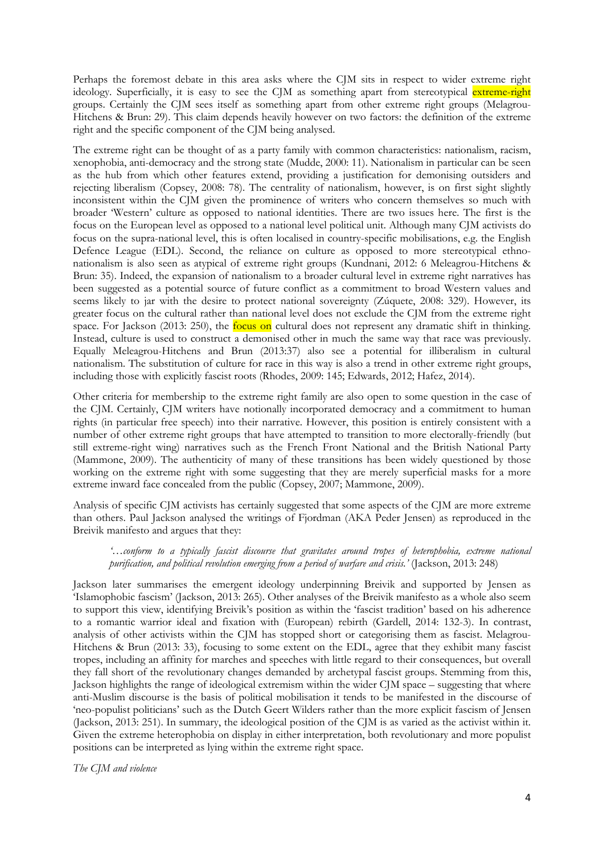Perhaps the foremost debate in this area asks where the CJM sits in respect to wider extreme right ideology. Superficially, it is easy to see the CJM as something apart from stereotypical extreme-right groups. Certainly the CJM sees itself as something apart from other extreme right groups (Melagrou-Hitchens & Brun: 29). This claim depends heavily however on two factors: the definition of the extreme right and the specific component of the CJM being analysed.

The extreme right can be thought of as a party family with common characteristics: nationalism, racism, xenophobia, anti-democracy and the strong state (Mudde, 2000: 11). Nationalism in particular can be seen as the hub from which other features extend, providing a justification for demonising outsiders and rejecting liberalism (Copsey, 2008: 78). The centrality of nationalism, however, is on first sight slightly inconsistent within the CJM given the prominence of writers who concern themselves so much with broader 'Western' culture as opposed to national identities. There are two issues here. The first is the focus on the European level as opposed to a national level political unit. Although many CJM activists do focus on the supra-national level, this is often localised in country-specific mobilisations, e.g. the English Defence League (EDL). Second, the reliance on culture as opposed to more stereotypical ethnonationalism is also seen as atypical of extreme right groups (Kundnani, 2012: 6 Meleagrou-Hitchens & Brun: 35). Indeed, the expansion of nationalism to a broader cultural level in extreme right narratives has been suggested as a potential source of future conflict as a commitment to broad Western values and seems likely to jar with the desire to protect national sovereignty (Zúquete, 2008: 329). However, its greater focus on the cultural rather than national level does not exclude the CJM from the extreme right space. For Jackson (2013: 250), the **focus on** cultural does not represent any dramatic shift in thinking. Instead, culture is used to construct a demonised other in much the same way that race was previously. Equally Meleagrou-Hitchens and Brun (2013:37) also see a potential for illiberalism in cultural nationalism. The substitution of culture for race in this way is also a trend in other extreme right groups, including those with explicitly fascist roots (Rhodes, 2009: 145; Edwards, 2012; Hafez, 2014).

Other criteria for membership to the extreme right family are also open to some question in the case of the CJM. Certainly, CJM writers have notionally incorporated democracy and a commitment to human rights (in particular free speech) into their narrative. However, this position is entirely consistent with a number of other extreme right groups that have attempted to transition to more electorally-friendly (but still extreme-right wing) narratives such as the French Front National and the British National Party (Mammone, 2009). The authenticity of many of these transitions has been widely questioned by those working on the extreme right with some suggesting that they are merely superficial masks for a more extreme inward face concealed from the public (Copsey, 2007; Mammone, 2009).

Analysis of specific CJM activists has certainly suggested that some aspects of the CJM are more extreme than others. Paul Jackson analysed the writings of Fjordman (AKA Peder Jensen) as reproduced in the Breivik manifesto and argues that they:

*'…conform to a typically fascist discourse that gravitates around tropes of heterophobia, extreme national purification, and political revolution emerging from a period of warfare and crisis.'* (Jackson, 2013: 248)

Jackson later summarises the emergent ideology underpinning Breivik and supported by Jensen as 'Islamophobic fascism' (Jackson, 2013: 265). Other analyses of the Breivik manifesto as a whole also seem to support this view, identifying Breivik's position as within the 'fascist tradition' based on his adherence to a romantic warrior ideal and fixation with (European) rebirth (Gardell, 2014: 132-3). In contrast, analysis of other activists within the CJM has stopped short or categorising them as fascist. Melagrou-Hitchens & Brun (2013: 33), focusing to some extent on the EDL, agree that they exhibit many fascist tropes, including an affinity for marches and speeches with little regard to their consequences, but overall they fall short of the revolutionary changes demanded by archetypal fascist groups. Stemming from this, Jackson highlights the range of ideological extremism within the wider CJM space – suggesting that where anti-Muslim discourse is the basis of political mobilisation it tends to be manifested in the discourse of 'neo-populist politicians' such as the Dutch Geert Wilders rather than the more explicit fascism of Jensen (Jackson, 2013: 251). In summary, the ideological position of the CJM is as varied as the activist within it. Given the extreme heterophobia on display in either interpretation, both revolutionary and more populist positions can be interpreted as lying within the extreme right space.

*The CJM and violence*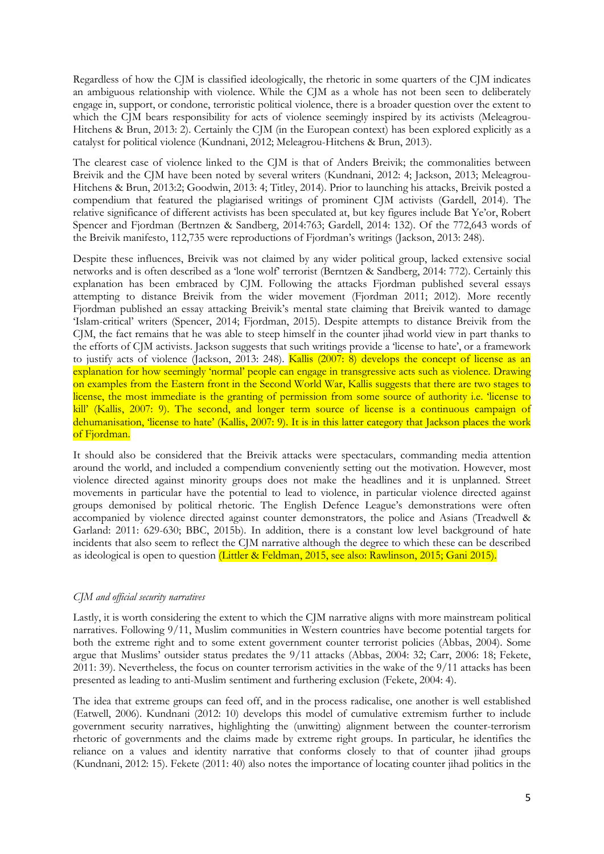Regardless of how the CJM is classified ideologically, the rhetoric in some quarters of the CJM indicates an ambiguous relationship with violence. While the CJM as a whole has not been seen to deliberately engage in, support, or condone, terroristic political violence, there is a broader question over the extent to which the CJM bears responsibility for acts of violence seemingly inspired by its activists (Meleagrou-Hitchens & Brun, 2013: 2). Certainly the CJM (in the European context) has been explored explicitly as a catalyst for political violence (Kundnani, 2012; Meleagrou-Hitchens & Brun, 2013).

The clearest case of violence linked to the CJM is that of Anders Breivik; the commonalities between Breivik and the CJM have been noted by several writers (Kundnani, 2012: 4; Jackson, 2013; Meleagrou-Hitchens & Brun, 2013:2; Goodwin, 2013: 4; Titley, 2014). Prior to launching his attacks, Breivik posted a compendium that featured the plagiarised writings of prominent CJM activists (Gardell, 2014). The relative significance of different activists has been speculated at, but key figures include Bat Ye'or, Robert Spencer and Fjordman (Bertnzen & Sandberg, 2014:763; Gardell, 2014: 132). Of the 772,643 words of the Breivik manifesto, 112,735 were reproductions of Fjordman's writings (Jackson, 2013: 248).

Despite these influences, Breivik was not claimed by any wider political group, lacked extensive social networks and is often described as a 'lone wolf' terrorist (Berntzen & Sandberg, 2014: 772). Certainly this explanation has been embraced by CJM. Following the attacks Fjordman published several essays attempting to distance Breivik from the wider movement (Fjordman 2011; 2012). More recently Fjordman published an essay attacking Breivik's mental state claiming that Breivik wanted to damage 'Islam-critical' writers (Spencer, 2014; Fjordman, 2015). Despite attempts to distance Breivik from the CJM, the fact remains that he was able to steep himself in the counter jihad world view in part thanks to the efforts of CJM activists. Jackson suggests that such writings provide a 'license to hate', or a framework to justify acts of violence (Jackson, 2013: 248). Kallis (2007: 8) develops the concept of license as an explanation for how seemingly 'normal' people can engage in transgressive acts such as violence. Drawing on examples from the Eastern front in the Second World War, Kallis suggests that there are two stages to license, the most immediate is the granting of permission from some source of authority i.e. 'license to kill' (Kallis, 2007: 9). The second, and longer term source of license is a continuous campaign of dehumanisation, 'license to hate' (Kallis, 2007: 9). It is in this latter category that Jackson places the work of Fjordman.

It should also be considered that the Breivik attacks were spectaculars, commanding media attention around the world, and included a compendium conveniently setting out the motivation. However, most violence directed against minority groups does not make the headlines and it is unplanned. Street movements in particular have the potential to lead to violence, in particular violence directed against groups demonised by political rhetoric. The English Defence League's demonstrations were often accompanied by violence directed against counter demonstrators, the police and Asians (Treadwell & Garland: 2011: 629-630; BBC, 2015b). In addition, there is a constant low level background of hate incidents that also seem to reflect the CJM narrative although the degree to which these can be described as ideological is open to question (Littler & Feldman, 2015, see also: Rawlinson, 2015; Gani 2015).

### *CJM and official security narratives*

Lastly, it is worth considering the extent to which the CJM narrative aligns with more mainstream political narratives. Following 9/11, Muslim communities in Western countries have become potential targets for both the extreme right and to some extent government counter terrorist policies (Abbas, 2004). Some argue that Muslims' outsider status predates the 9/11 attacks (Abbas, 2004: 32; Carr, 2006: 18; Fekete, 2011: 39). Nevertheless, the focus on counter terrorism activities in the wake of the 9/11 attacks has been presented as leading to anti-Muslim sentiment and furthering exclusion (Fekete, 2004: 4).

The idea that extreme groups can feed off, and in the process radicalise, one another is well established (Eatwell, 2006). Kundnani (2012: 10) develops this model of cumulative extremism further to include government security narratives, highlighting the (unwitting) alignment between the counter-terrorism rhetoric of governments and the claims made by extreme right groups. In particular, he identifies the reliance on a values and identity narrative that conforms closely to that of counter jihad groups (Kundnani, 2012: 15). Fekete (2011: 40) also notes the importance of locating counter jihad politics in the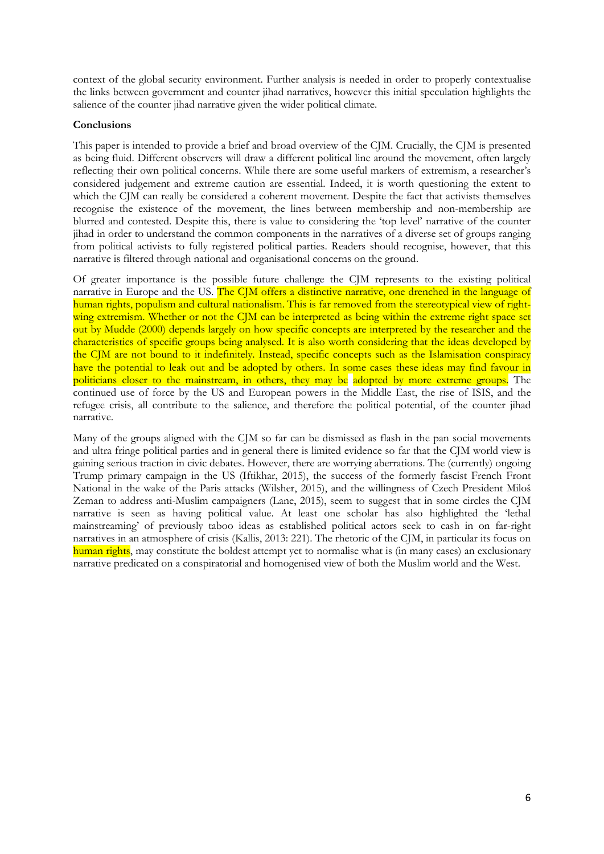context of the global security environment. Further analysis is needed in order to properly contextualise the links between government and counter jihad narratives, however this initial speculation highlights the salience of the counter jihad narrative given the wider political climate.

## **Conclusions**

This paper is intended to provide a brief and broad overview of the CJM. Crucially, the CJM is presented as being fluid. Different observers will draw a different political line around the movement, often largely reflecting their own political concerns. While there are some useful markers of extremism, a researcher's considered judgement and extreme caution are essential. Indeed, it is worth questioning the extent to which the CJM can really be considered a coherent movement. Despite the fact that activists themselves recognise the existence of the movement, the lines between membership and non-membership are blurred and contested. Despite this, there is value to considering the 'top level' narrative of the counter jihad in order to understand the common components in the narratives of a diverse set of groups ranging from political activists to fully registered political parties. Readers should recognise, however, that this narrative is filtered through national and organisational concerns on the ground.

Of greater importance is the possible future challenge the CJM represents to the existing political narrative in Europe and the US. The CJM offers a distinctive narrative, one drenched in the language of human rights, populism and cultural nationalism. This is far removed from the stereotypical view of rightwing extremism. Whether or not the CJM can be interpreted as being within the extreme right space set out by Mudde (2000) depends largely on how specific concepts are interpreted by the researcher and the characteristics of specific groups being analysed. It is also worth considering that the ideas developed by the CJM are not bound to it indefinitely. Instead, specific concepts such as the Islamisation conspiracy have the potential to leak out and be adopted by others. In some cases these ideas may find favour in politicians closer to the mainstream, in others, they may be adopted by more extreme groups. The continued use of force by the US and European powers in the Middle East, the rise of ISIS, and the refugee crisis, all contribute to the salience, and therefore the political potential, of the counter jihad narrative.

Many of the groups aligned with the CJM so far can be dismissed as flash in the pan social movements and ultra fringe political parties and in general there is limited evidence so far that the CJM world view is gaining serious traction in civic debates. However, there are worrying aberrations. The (currently) ongoing Trump primary campaign in the US (Iftikhar, 2015), the success of the formerly fascist French Front National in the wake of the Paris attacks (Wilsher, 2015), and the willingness of Czech President Miloš Zeman to address anti-Muslim campaigners (Lane, 2015), seem to suggest that in some circles the CJM narrative is seen as having political value. At least one scholar has also highlighted the 'lethal mainstreaming' of previously taboo ideas as established political actors seek to cash in on far-right narratives in an atmosphere of crisis (Kallis, 2013: 221). The rhetoric of the CJM, in particular its focus on human rights, may constitute the boldest attempt yet to normalise what is (in many cases) an exclusionary narrative predicated on a conspiratorial and homogenised view of both the Muslim world and the West.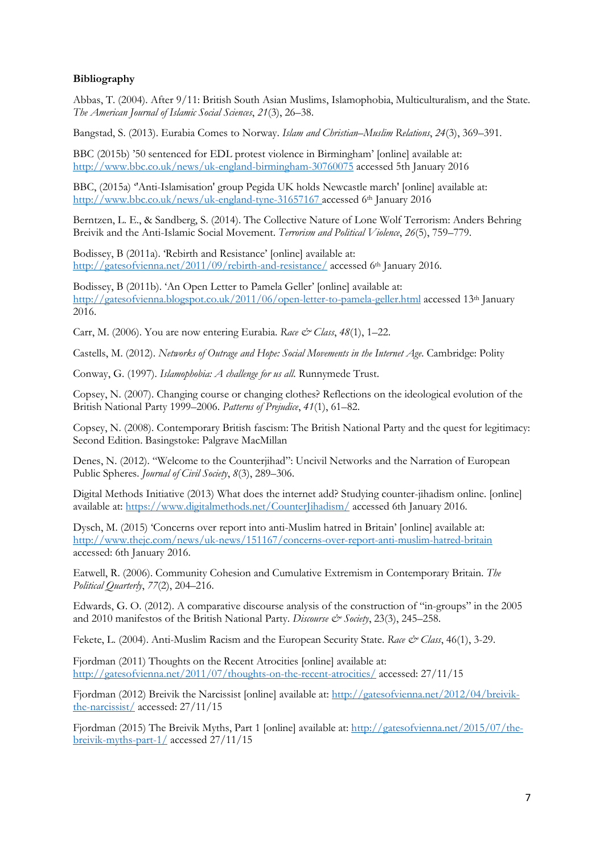# **Bibliography**

Abbas, T. (2004). After 9/11: British South Asian Muslims, Islamophobia, Multiculturalism, and the State. *The American Journal of Islamic Social Sciences*, *21*(3), 26–38.

Bangstad, S. (2013). Eurabia Comes to Norway. *Islam and Christian–Muslim Relations*, *24*(3), 369–391.

BBC (2015b) '50 sentenced for EDL protest violence in Birmingham' [online] available at: <http://www.bbc.co.uk/news/uk-england-birmingham-30760075> accessed 5th January 2016

BBC, (2015a) ''Anti-Islamisation' group Pegida UK holds Newcastle march' [online] available at: <http://www.bbc.co.uk/news/uk-england-tyne-31657167> accessed 6th January 2016

Berntzen, L. E., & Sandberg, S. (2014). The Collective Nature of Lone Wolf Terrorism: Anders Behring Breivik and the Anti-Islamic Social Movement. *Terrorism and Political Violence*, *26*(5), 759–779.

Bodissey, B (2011a). 'Rebirth and Resistance' [online] available at: <http://gatesofvienna.net/2011/09/rebirth-and-resistance/> accessed 6<sup>th</sup> January 2016.

Bodissey, B (2011b). 'An Open Letter to Pamela Geller' [online] available at: <http://gatesofvienna.blogspot.co.uk/2011/06/open-letter-to-pamela-geller.html> accessed 13th January 2016.

Carr, M. (2006). You are now entering Eurabia. *Race & Class*, *48*(1), 1–22.

Castells, M. (2012). *Networks of Outrage and Hope: Social Movements in the Internet Age*. Cambridge: Polity

Conway, G. (1997). *Islamophobia: A challenge for us all*. Runnymede Trust.

Copsey, N. (2007). Changing course or changing clothes? Reflections on the ideological evolution of the British National Party 1999–2006. *Patterns of Prejudice*, *41*(1), 61–82.

Copsey, N. (2008). Contemporary British fascism: The British National Party and the quest for legitimacy: Second Edition. Basingstoke: Palgrave MacMillan

Denes, N. (2012). "Welcome to the Counterjihad": Uncivil Networks and the Narration of European Public Spheres. *Journal of Civil Society*, *8*(3), 289–306.

Digital Methods Initiative (2013) What does the internet add? Studying counter-jihadism online. [online] available at:<https://www.digitalmethods.net/CounterJihadism/> accessed 6th January 2016.

Dysch, M. (2015) 'Concerns over report into anti-Muslim hatred in Britain' [online] available at: <http://www.thejc.com/news/uk-news/151167/concerns-over-report-anti-muslim-hatred-britain> accessed: 6th January 2016.

Eatwell, R. (2006). Community Cohesion and Cumulative Extremism in Contemporary Britain. *The Political Quarterly*, *77*(2), 204–216.

Edwards, G. O. (2012). A comparative discourse analysis of the construction of "in-groups" in the 2005 and 2010 manifestos of the British National Party. *Discourse & Society*, 23(3), 245–258.

Fekete, L. (2004). Anti-Muslim Racism and the European Security State. *Race & Class*, 46(1), 3-29.

Fjordman (2011) Thoughts on the Recent Atrocities [online] available at: <http://gatesofvienna.net/2011/07/thoughts-on-the-recent-atrocities/> accessed: 27/11/15

Fjordman (2012) Breivik the Narcissist [online] available at: [http://gatesofvienna.net/2012/04/breivik](http://gatesofvienna.net/2012/04/breivik-the-narcissist/)[the-narcissist/](http://gatesofvienna.net/2012/04/breivik-the-narcissist/) accessed: 27/11/15

Fjordman (2015) The Breivik Myths, Part 1 [online] available at: [http://gatesofvienna.net/2015/07/the](http://gatesofvienna.net/2015/07/the-breivik-myths-part-1/)[breivik-myths-part-1/](http://gatesofvienna.net/2015/07/the-breivik-myths-part-1/) accessed 27/11/15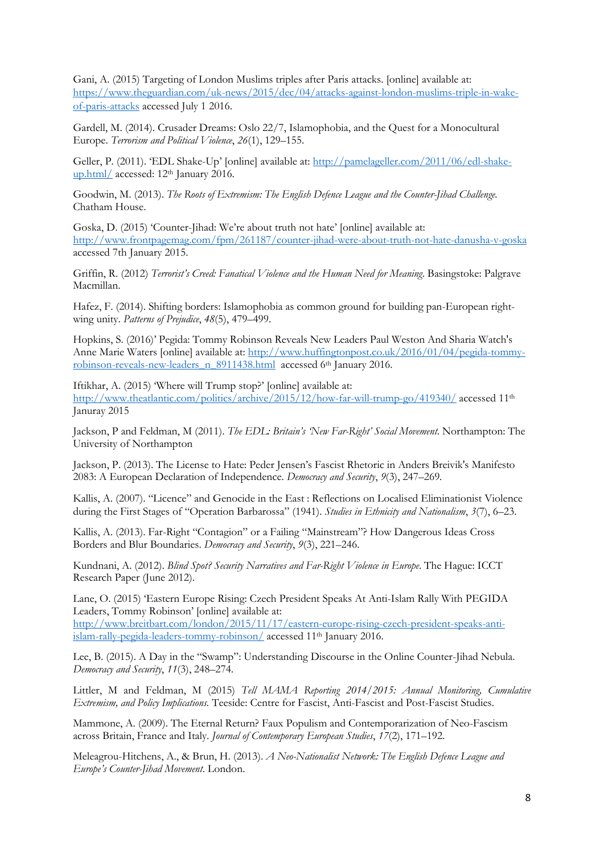Gani, A. (2015) Targeting of London Muslims triples after Paris attacks. [online] available at: [https://www.theguardian.com/uk-news/2015/dec/04/attacks-against-london-muslims-triple-in-wake](https://www.theguardian.com/uk-news/2015/dec/04/attacks-against-london-muslims-triple-in-wake-of-paris-attacks)[of-paris-attacks](https://www.theguardian.com/uk-news/2015/dec/04/attacks-against-london-muslims-triple-in-wake-of-paris-attacks) accessed July 1 2016.

Gardell, M. (2014). Crusader Dreams: Oslo 22/7, Islamophobia, and the Quest for a Monocultural Europe. *Terrorism and Political Violence*, *26*(1), 129–155.

Geller, P. (2011). 'EDL Shake-Up' [online] available at: [http://pamelageller.com/2011/06/edl-shake](http://pamelageller.com/2011/06/edl-shake-up.html/)[up.html/](http://pamelageller.com/2011/06/edl-shake-up.html/) accessed: 12<sup>th</sup> January 2016.

Goodwin, M. (2013). *The Roots of Extremism: The English Defence League and the Counter-Jihad Challenge.* Chatham House.

Goska, D. (2015) 'Counter-Jihad: We're about truth not hate' [online] available at: <http://www.frontpagemag.com/fpm/261187/counter-jihad-were-about-truth-not-hate-danusha-v-goska> accessed 7th January 2015.

Griffin, R. (2012) *Terrorist's Creed: Fanatical Violence and the Human Need for Meaning*. Basingstoke: Palgrave Macmillan.

Hafez, F. (2014). Shifting borders: Islamophobia as common ground for building pan-European rightwing unity. *Patterns of Prejudice*, *48*(5), 479–499.

Hopkins, S. (2016)' Pegida: Tommy Robinson Reveals New Leaders Paul Weston And Sharia Watch's Anne Marie Waters [online] available at: [http://www.huffingtonpost.co.uk/2016/01/04/pegida-tommy](http://www.huffingtonpost.co.uk/2016/01/04/pegida-tommy-robinson-reveals-new-leaders_n_8911438.html)[robinson-reveals-new-leaders\\_n\\_8911438.html](http://www.huffingtonpost.co.uk/2016/01/04/pegida-tommy-robinson-reveals-new-leaders_n_8911438.html) accessed 6th January 2016.

Iftikhar, A. (2015) 'Where will Trump stop?' [online] available at: <http://www.theatlantic.com/politics/archive/2015/12/how-far-will-trump-go/419340/> accessed 11th Januray 2015

Jackson, P and Feldman, M (2011). *The EDL: Britain's 'New Far-Right' Social Movement*. Northampton: The University of Northampton

Jackson, P. (2013). The License to Hate: Peder Jensen's Fascist Rhetoric in Anders Breivik's Manifesto 2083: A European Declaration of Independence. *Democracy and Security*, *9*(3), 247–269.

Kallis, A. (2007). "Licence" and Genocide in the East : Reflections on Localised Eliminationist Violence during the First Stages of "Operation Barbarossa" (1941). *Studies in Ethnicity and Nationalism*, *3*(7), 6–23.

Kallis, A. (2013). Far-Right "Contagion" or a Failing "Mainstream"? How Dangerous Ideas Cross Borders and Blur Boundaries. *Democracy and Security*, *9*(3), 221–246.

Kundnani, A. (2012). *Blind Spot? Security Narratives and Far-Right Violence in Europe*. The Hague: ICCT Research Paper (June 2012).

Lane, O. (2015) 'Eastern Europe Rising: Czech President Speaks At Anti-Islam Rally With PEGIDA Leaders, Tommy Robinson' [online] available at: [http://www.breitbart.com/london/2015/11/17/eastern-europe-rising-czech-president-speaks-anti](http://www.breitbart.com/london/2015/11/17/eastern-europe-rising-czech-president-speaks-anti-islam-rally-pegida-leaders-tommy-robinson/)[islam-rally-pegida-leaders-tommy-robinson/](http://www.breitbart.com/london/2015/11/17/eastern-europe-rising-czech-president-speaks-anti-islam-rally-pegida-leaders-tommy-robinson/) accessed 11th January 2016.

Lee, B. (2015). A Day in the "Swamp": Understanding Discourse in the Online Counter-Jihad Nebula. *Democracy and Security*, *11*(3), 248–274.

Littler, M and Feldman, M (2015) *Tell MAMA Reporting 2014/2015: Annual Monitoring, Cumulative Extremism, and Policy Implications.* Teeside: Centre for Fascist, Anti-Fascist and Post-Fascist Studies.

Mammone, A. (2009). The Eternal Return? Faux Populism and Contemporarization of Neo-Fascism across Britain, France and Italy. *Journal of Contemporary European Studies*, *17*(2), 171–192.

Meleagrou-Hitchens, A., & Brun, H. (2013). *A Neo-Nationalist Network: The English Defence League and Europe's Counter-Jihad Movement*. London.